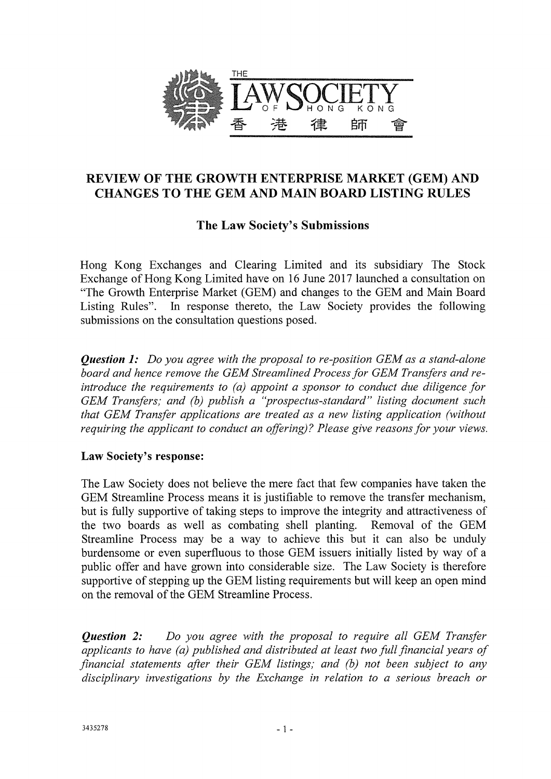

## REVIEW OF THE GROWTH ENTERPRISE MARKET (GEM) AND CHANGES TO THE GEM AND MAIN BOARD LISTING RULES

# The Law Society's Submissions

Hong Kong Exchanges and Clearing Limited and its subsidiary The Stock Exchange of Hong Kong Limited have on 16 June 2017 launched a consultation on "The Growth Enterprise Market (GEM) and changes to the GEM and Main Board Listing Rules". In response thereto, the Law Society provides the following submissions on the consultation questions posed.

*Question 1: Do you agree with the proposal to re-position GEM as a stand-alone board and hence remove the GEM Streamlined Process for GEM Transfers and reintroduce the requirements to (a) appoint a sponsor to conduct due diligence for GEM Transfers; and (b) publish a "prospectus-standard" listing document such that GEM Transfer applications are treated as a new listing application (without requiring the applicant to conduct an offering)? Please give reasons for your views.* 

## Law Society's response:

The Law Society does not believe the mere fact that few companies have taken the GEM Streamline Process means it is justifiable to remove the transfer mechanism, but is fully supportive of taking steps to improve the integrity and attractiveness of the two boards as well as combating shell planting. Removal of the GEM Streamline Process may be a way to achieve this but it can also be unduly burdensome or even superfluous to those GEM issuers initially listed by way of a public offer and have grown into considerable size. The Law Society is therefore supportive of stepping up the GEM listing requirements but will keep an open mind on the removal of the GEM Streamline Process.

*Question 2: Do you agree with the proposal to require all GEM Transfer applicants to have (a) published and distributed at least two full financial years of financial statements after their GEM listings; and (b) not been subject to any disciplinary investigations by the Exchange in relation to a serious breach or*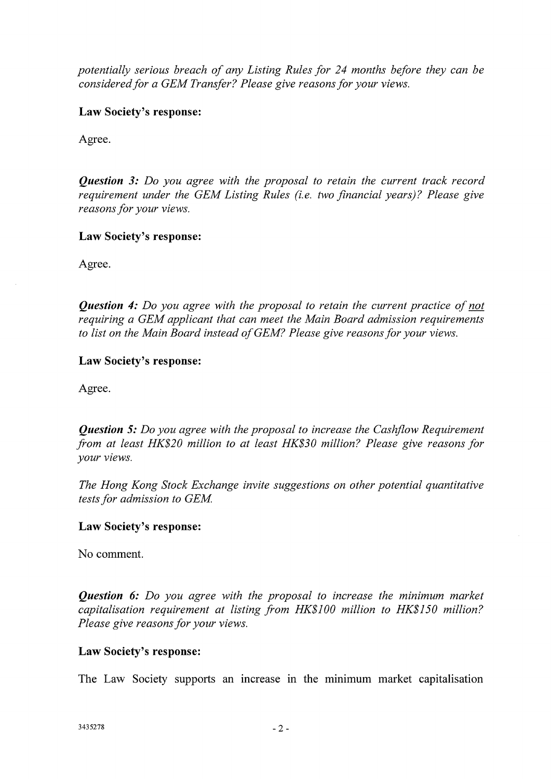*potentially serious breach of any Listing Rules for 24 months before they can be considered for a GEM Transfer? Please give reasons for your views.* 

**Law Society's response:** 

Agree.

*Question 3: Do you agree with the proposal to retain the current track record requirement under the GEM Listing Rules (i.e. two financial years)? Please give reasons for your views.* 

**Law Society's response:** 

Agree.

*Question 4: Do you agree with the proposal to retain the current practice of not requiring a GEM applicant that can meet the Main Board admission requirements to list on the Main Board instead of GEM? Please give reasons for your views.* 

## **Law Society's response:**

Agree.

*Question 5: Do you agree with the proposal to increase the Cashflow Requirement from at least HK\$20 million to at least HK\$30 million? Please give reasons for your views.* 

*The Hong Kong Stock Exchange invite suggestions on other potential quantitative tests for admission to GEM* 

## **Law Society's response:**

No comment.

*Question 6: Do you agree with the proposal to increase the minimum market capitalisation requirement at listing from HK\$100 million to HK\$150 million? Please give reasons for your views.* 

## **Law Society's response:**

The Law Society supports an increase in the minimum market capitalisation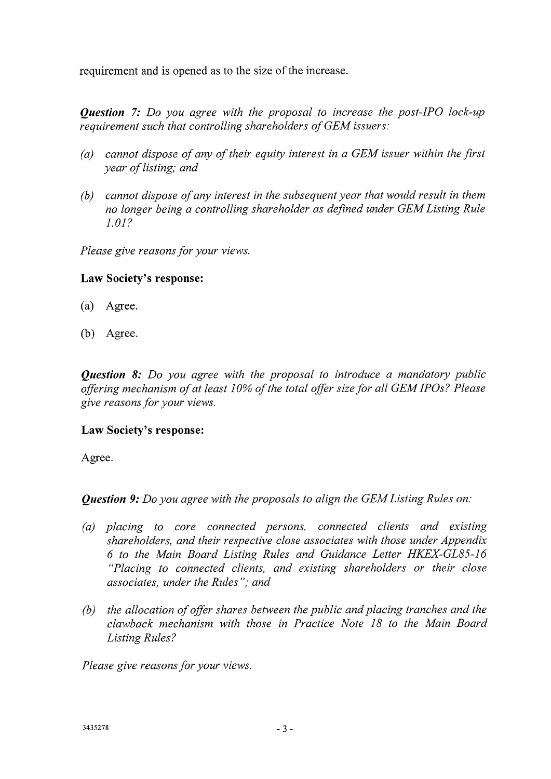requirement and is opened as to the size of the increase.

*Question* 7: *Do you agree with the proposal to increase the post-IPO lock-up requirement such that controlling shareholders of GEM issuers:* 

- *(a) cannot dispose of any of their equity interest in a GEM issuer within the first year of listing; and*
- *(b) cannot dispose of any interest in the subsequent year that would result in them no longer being a controlling shareholder as defined under GEM Listing Rule 1.01?*

*Please give reasons for your views.* 

## Law Society's response:

- (a) Agree.
- (b) Agree.

*Question 8: Do you agree with the proposal to introduce a mandatory public offering mechanism of at least 10% of the total offer size for all GEM IPOs? Please give reasons for your views.* 

## Law Society's response:

Agree.

*Question 9: Do you agree with the proposals to align the GEM Listing Rules on:* 

- *(a) placing to core connected persons, connected clients and existing shareholders, and their respective close associates with those under Appendix 6 to the Main Board Listing Rules and Guidance Letter HKEX-GL85-16 "Placing to connected clients, and existing shareholders or their close associates, under the Rules"; and*
- *(b) the allocation of offer shares between the public and placing tranches and the clawback mechanism with those in Practice Note 18 to the Main Board Listing Rules?*

*Please give reasons for your views.*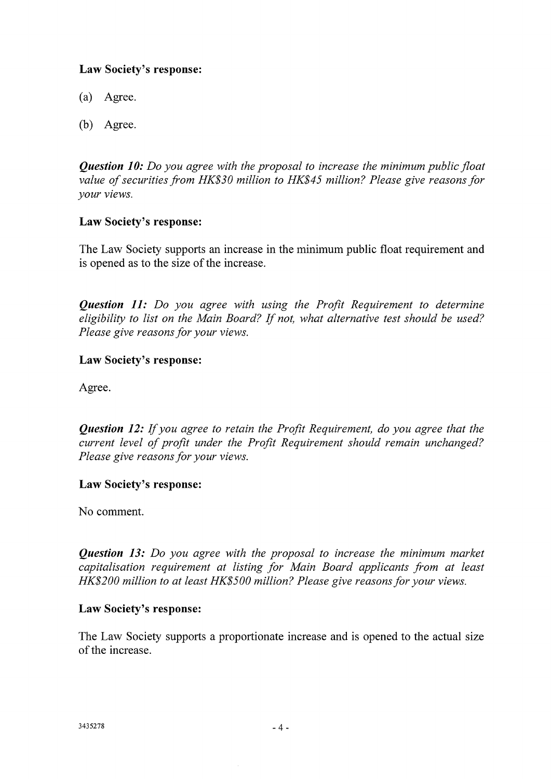## **Law Society's response:**

- (a) Agree.
- (b) Agree.

*Question 10: Do you agree with the proposal to increase the minimum public float value of securities from HK\$30 million to HK\$45 million? Please give reasons for your views.* 

## **Law Society's response:**

The Law Society supports an increase in the minimum public float requirement and is opened as to the size of the increase.

*Question 11: Do you agree with using the Profit Requirement to determine eligibility to list on the Main Board? If not, what alternative test should be used? Please give reasons for your views.* 

## **Law Society's response:**

Agree.

*Question 12: If you agree to retain the Profit Requirement, do you agree that the current level of profit under the Profit Requirement should remain unchanged? Please give reasons for your views.* 

## **Law Society's response:**

No comment.

*Question 13: Do you agree with the proposal to increase the minimum market capitalisation requirement at listing for Main Board applicants from at least HK\$200 million to at least HK\$500 million? Please give reasons for your views.* 

## **Law Society's response:**

The Law Society supports a proportionate increase and is opened to the actual size of the increase.